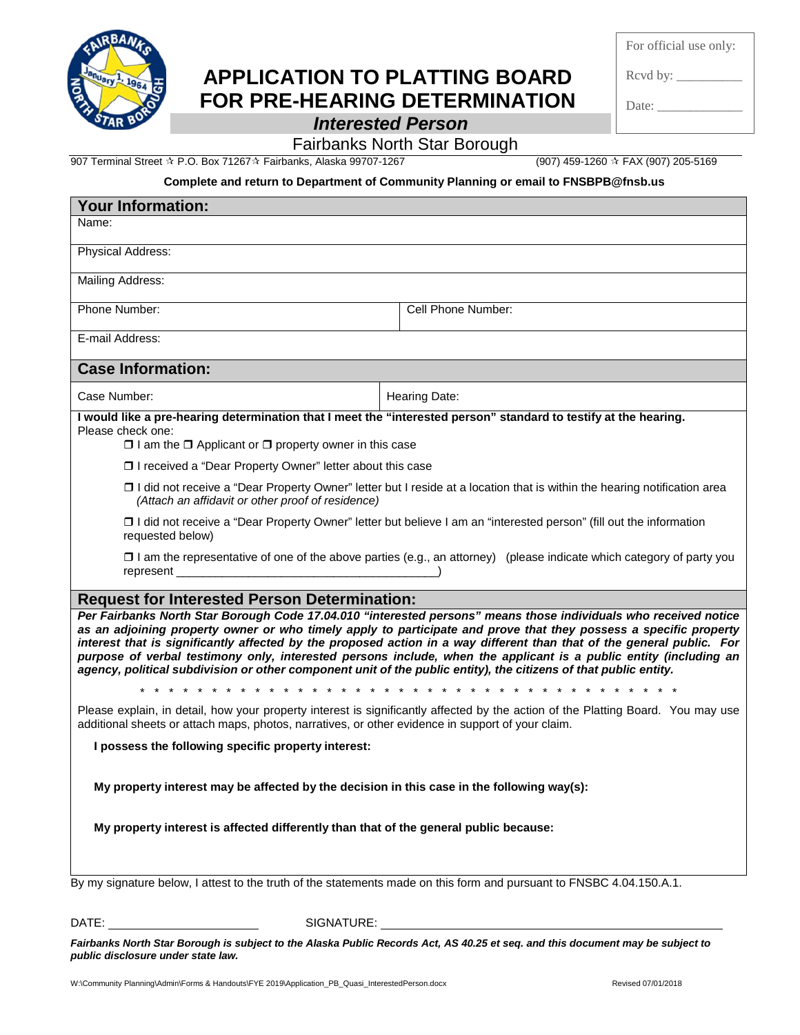

## **APPLICATION TO PLATTING BOARD FOR PRE-HEARING DETERMINATION**

For official use only:

Rcvd by:  $\_\_$ 

Date:  $\_\_$ 

*Interested Person*

## Fairbanks North Star Borough

907 Terminal Street ☆ P.O. Box 71267☆ Fairbanks, Alaska 99707-1267 (907) 459-1260 ☆ FAX (907) 205-5169

## **Complete and return to Department of Community Planning or email to FNSBPB@fnsb.us**

| <b>Your Information:</b>                                                                                                                                                                                                                                                                                                                                                                                                                                                                                                                                                                                                                                                                                                                                                                                                                                              |                      |
|-----------------------------------------------------------------------------------------------------------------------------------------------------------------------------------------------------------------------------------------------------------------------------------------------------------------------------------------------------------------------------------------------------------------------------------------------------------------------------------------------------------------------------------------------------------------------------------------------------------------------------------------------------------------------------------------------------------------------------------------------------------------------------------------------------------------------------------------------------------------------|----------------------|
| Name:                                                                                                                                                                                                                                                                                                                                                                                                                                                                                                                                                                                                                                                                                                                                                                                                                                                                 |                      |
| Physical Address:                                                                                                                                                                                                                                                                                                                                                                                                                                                                                                                                                                                                                                                                                                                                                                                                                                                     |                      |
| Mailing Address:                                                                                                                                                                                                                                                                                                                                                                                                                                                                                                                                                                                                                                                                                                                                                                                                                                                      |                      |
| Phone Number:                                                                                                                                                                                                                                                                                                                                                                                                                                                                                                                                                                                                                                                                                                                                                                                                                                                         | Cell Phone Number:   |
| E-mail Address:                                                                                                                                                                                                                                                                                                                                                                                                                                                                                                                                                                                                                                                                                                                                                                                                                                                       |                      |
| <b>Case Information:</b>                                                                                                                                                                                                                                                                                                                                                                                                                                                                                                                                                                                                                                                                                                                                                                                                                                              |                      |
| Case Number:                                                                                                                                                                                                                                                                                                                                                                                                                                                                                                                                                                                                                                                                                                                                                                                                                                                          | <b>Hearing Date:</b> |
| I would like a pre-hearing determination that I meet the "interested person" standard to testify at the hearing.<br>Please check one:                                                                                                                                                                                                                                                                                                                                                                                                                                                                                                                                                                                                                                                                                                                                 |                      |
| $\Box$ I am the $\Box$ Applicant or $\Box$ property owner in this case                                                                                                                                                                                                                                                                                                                                                                                                                                                                                                                                                                                                                                                                                                                                                                                                |                      |
| □ I received a "Dear Property Owner" letter about this case                                                                                                                                                                                                                                                                                                                                                                                                                                                                                                                                                                                                                                                                                                                                                                                                           |                      |
| □ I did not receive a "Dear Property Owner" letter but I reside at a location that is within the hearing notification area<br>(Attach an affidavit or other proof of residence)                                                                                                                                                                                                                                                                                                                                                                                                                                                                                                                                                                                                                                                                                       |                      |
| □ I did not receive a "Dear Property Owner" letter but believe I am an "interested person" (fill out the information<br>requested below)                                                                                                                                                                                                                                                                                                                                                                                                                                                                                                                                                                                                                                                                                                                              |                      |
| $\Box$ I am the representative of one of the above parties (e.g., an attorney) (please indicate which category of party you<br>represent (a) and the contract of the contract of the contract of the contract of the contract of the contract of the contract of the contract of the contract of the contract of the contract of the contract of the contract                                                                                                                                                                                                                                                                                                                                                                                                                                                                                                         |                      |
| <b>Request for Interested Person Determination:</b>                                                                                                                                                                                                                                                                                                                                                                                                                                                                                                                                                                                                                                                                                                                                                                                                                   |                      |
| Per Fairbanks North Star Borough Code 17.04.010 "interested persons" means those individuals who received notice<br>as an adjoining property owner or who timely apply to participate and prove that they possess a specific property<br>interest that is significantly affected by the proposed action in a way different than that of the general public. For<br>purpose of verbal testimony only, interested persons include, when the applicant is a public entity (including an<br>agency, political subdivision or other component unit of the public entity), the citizens of that public entity.<br>$*$ *<br>$*$ * *<br>Please explain, in detail, how your property interest is significantly affected by the action of the Platting Board. You may use<br>additional sheets or attach maps, photos, narratives, or other evidence in support of your claim. |                      |
| I possess the following specific property interest:                                                                                                                                                                                                                                                                                                                                                                                                                                                                                                                                                                                                                                                                                                                                                                                                                   |                      |
| My property interest may be affected by the decision in this case in the following way(s):<br>My property interest is affected differently than that of the general public because:                                                                                                                                                                                                                                                                                                                                                                                                                                                                                                                                                                                                                                                                                   |                      |
| By my signature below, I attest to the truth of the statements made on this form and pursuant to FNSBC 4.04.150.A.1.                                                                                                                                                                                                                                                                                                                                                                                                                                                                                                                                                                                                                                                                                                                                                  |                      |

DATE: SIGNATURE:

*Fairbanks North Star Borough is subject to the Alaska Public Records Act, AS 40.25 et seq. and this document may be subject to public disclosure under state law.*